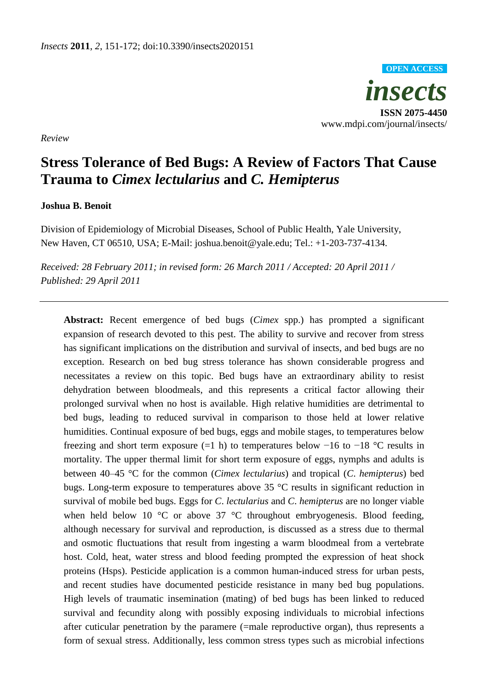*insects* **ISSN 2075-4450** www.mdpi.com/journal/insects/ **OPEN ACCESS**

*Review*

# **Stress Tolerance of Bed Bugs: A Review of Factors That Cause Trauma to** *Cimex lectularius* **and** *C. Hemipterus*

## **Joshua B. Benoit**

Division of Epidemiology of Microbial Diseases, School of Public Health, Yale University, New Haven, CT 06510, USA; E-Mail: joshua.benoit@yale.edu; Tel.: +1-203-737-4134.

*Received: 28 February 2011; in revised form: 26 March 2011 / Accepted: 20 April 2011 / Published: 29 April 2011*

**Abstract:** Recent emergence of bed bugs (*Cimex* spp.) has prompted a significant expansion of research devoted to this pest. The ability to survive and recover from stress has significant implications on the distribution and survival of insects, and bed bugs are no exception. Research on bed bug stress tolerance has shown considerable progress and necessitates a review on this topic. Bed bugs have an extraordinary ability to resist dehydration between bloodmeals, and this represents a critical factor allowing their prolonged survival when no host is available. High relative humidities are detrimental to bed bugs, leading to reduced survival in comparison to those held at lower relative humidities. Continual exposure of bed bugs, eggs and mobile stages, to temperatures below freezing and short term exposure (=1 h) to temperatures below  $-16$  to  $-18$  °C results in mortality. The upper thermal limit for short term exposure of eggs, nymphs and adults is between 40–45 °C for the common (*Cimex lectularius*) and tropical (*C*. *hemipterus*) bed bugs. Long-term exposure to temperatures above  $35$  °C results in significant reduction in survival of mobile bed bugs. Eggs for *C*. *lectularius* and *C*. *hemipterus* are no longer viable when held below 10  $\degree$  or above 37  $\degree$ C throughout embryogenesis. Blood feeding, although necessary for survival and reproduction, is discussed as a stress due to thermal and osmotic fluctuations that result from ingesting a warm bloodmeal from a vertebrate host. Cold, heat, water stress and blood feeding prompted the expression of heat shock proteins (Hsps). Pesticide application is a common human-induced stress for urban pests, and recent studies have documented pesticide resistance in many bed bug populations. High levels of traumatic insemination (mating) of bed bugs has been linked to reduced survival and fecundity along with possibly exposing individuals to microbial infections after cuticular penetration by the paramere (=male reproductive organ), thus represents a form of sexual stress. Additionally, less common stress types such as microbial infections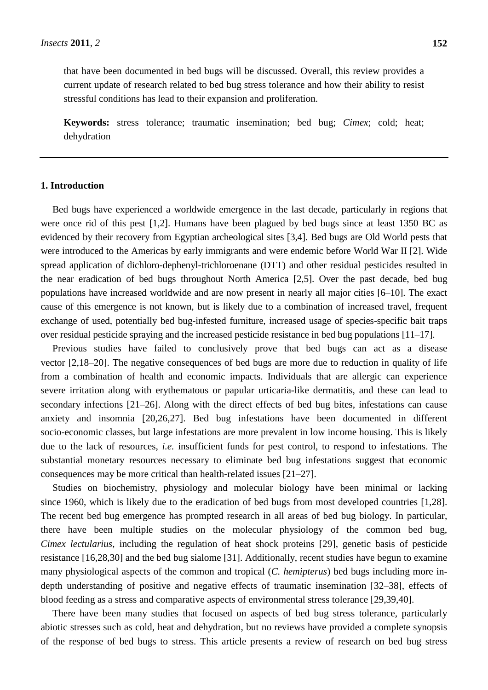**Keywords:** stress tolerance; traumatic insemination; bed bug; *Cimex*; cold; heat; dehydration

#### **1. Introduction**

Bed bugs have experienced a worldwide emergence in the last decade, particularly in regions that were once rid of this pest [1,2]. Humans have been plagued by bed bugs since at least 1350 BC as evidenced by their recovery from Egyptian archeological sites [3,4]. Bed bugs are Old World pests that were introduced to the Americas by early immigrants and were endemic before World War II [2]. Wide spread application of dichloro-dephenyl-trichloroenane (DTT) and other residual pesticides resulted in the near eradication of bed bugs throughout North America [2,5]. Over the past decade, bed bug populations have increased worldwide and are now present in nearly all major cities [6–10]. The exact cause of this emergence is not known, but is likely due to a combination of increased travel, frequent exchange of used, potentially bed bug-infested furniture, increased usage of species-specific bait traps over residual pesticide spraying and the increased pesticide resistance in bed bug populations [11–17].

Previous studies have failed to conclusively prove that bed bugs can act as a disease vector [2,18–20]. The negative consequences of bed bugs are more due to reduction in quality of life from a combination of health and economic impacts. Individuals that are allergic can experience severe irritation along with erythematous or papular urticaria-like dermatitis, and these can lead to secondary infections [21–26]. Along with the direct effects of bed bug bites, infestations can cause anxiety and insomnia [20,26,27]. Bed bug infestations have been documented in different socio-economic classes, but large infestations are more prevalent in low income housing. This is likely due to the lack of resources, *i.e.* insufficient funds for pest control, to respond to infestations. The substantial monetary resources necessary to eliminate bed bug infestations suggest that economic consequences may be more critical than health-related issues [21–27].

Studies on biochemistry, physiology and molecular biology have been minimal or lacking since 1960, which is likely due to the eradication of bed bugs from most developed countries [1,28]. The recent bed bug emergence has prompted research in all areas of bed bug biology. In particular, there have been multiple studies on the molecular physiology of the common bed bug, *Cimex lectularius,* including the regulation of heat shock proteins [29], genetic basis of pesticide resistance [16,28,30] and the bed bug sialome [31]. Additionally, recent studies have begun to examine many physiological aspects of the common and tropical (*C. hemipterus*) bed bugs including more indepth understanding of positive and negative effects of traumatic insemination [32–38], effects of blood feeding as a stress and comparative aspects of environmental stress tolerance [29,39,40].

There have been many studies that focused on aspects of bed bug stress tolerance, particularly abiotic stresses such as cold, heat and dehydration, but no reviews have provided a complete synopsis of the response of bed bugs to stress. This article presents a review of research on bed bug stress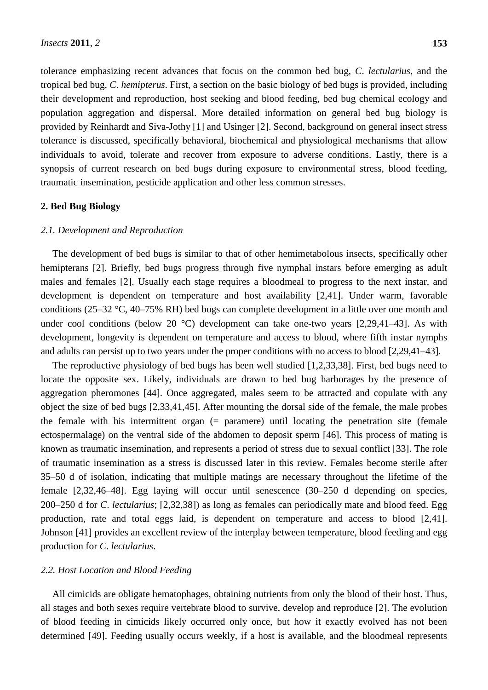tolerance emphasizing recent advances that focus on the common bed bug, *C*. *lectularius*, and the tropical bed bug, *C*. *hemipterus*. First, a section on the basic biology of bed bugs is provided, including their development and reproduction, host seeking and blood feeding, bed bug chemical ecology and population aggregation and dispersal. More detailed information on general bed bug biology is provided by Reinhardt and Siva-Jothy [1] and Usinger [2]. Second, background on general insect stress tolerance is discussed, specifically behavioral, biochemical and physiological mechanisms that allow individuals to avoid, tolerate and recover from exposure to adverse conditions. Lastly, there is a synopsis of current research on bed bugs during exposure to environmental stress, blood feeding, traumatic insemination, pesticide application and other less common stresses.

#### **2. Bed Bug Biology**

#### *2.1. Development and Reproduction*

The development of bed bugs is similar to that of other hemimetabolous insects, specifically other hemipterans [2]. Briefly, bed bugs progress through five nymphal instars before emerging as adult males and females [2]. Usually each stage requires a bloodmeal to progress to the next instar, and development is dependent on temperature and host availability [2,41]. Under warm, favorable conditions (25–32 °C, 40–75% RH) bed bugs can complete development in a little over one month and under cool conditions (below 20 °C) development can take one-two years  $[2,29,41-43]$ . As with development, longevity is dependent on temperature and access to blood, where fifth instar nymphs and adults can persist up to two years under the proper conditions with no access to blood [2,29,41–43].

The reproductive physiology of bed bugs has been well studied [1,2,33,38]. First, bed bugs need to locate the opposite sex. Likely, individuals are drawn to bed bug harborages by the presence of aggregation pheromones [44]. Once aggregated, males seem to be attracted and copulate with any object the size of bed bugs [2,33,41,45]. After mounting the dorsal side of the female, the male probes the female with his intermittent organ  $(=$  paramere) until locating the penetration site (female ectospermalage) on the ventral side of the abdomen to deposit sperm [46]. This process of mating is known as traumatic insemination, and represents a period of stress due to sexual conflict [33]. The role of traumatic insemination as a stress is discussed later in this review. Females become sterile after 35–50 d of isolation, indicating that multiple matings are necessary throughout the lifetime of the female [2,32,46–48]. Egg laying will occur until senescence (30–250 d depending on species, 200–250 d for *C*. *lectularius*; [2,32,38]) as long as females can periodically mate and blood feed. Egg production, rate and total eggs laid, is dependent on temperature and access to blood [2,41]. Johnson [41] provides an excellent review of the interplay between temperature, blood feeding and egg production for *C*. *lectularius*.

#### *2.2. Host Location and Blood Feeding*

All cimicids are obligate hematophages, obtaining nutrients from only the blood of their host. Thus, all stages and both sexes require vertebrate blood to survive, develop and reproduce [2]. The evolution of blood feeding in cimicids likely occurred only once, but how it exactly evolved has not been determined [49]. Feeding usually occurs weekly, if a host is available, and the bloodmeal represents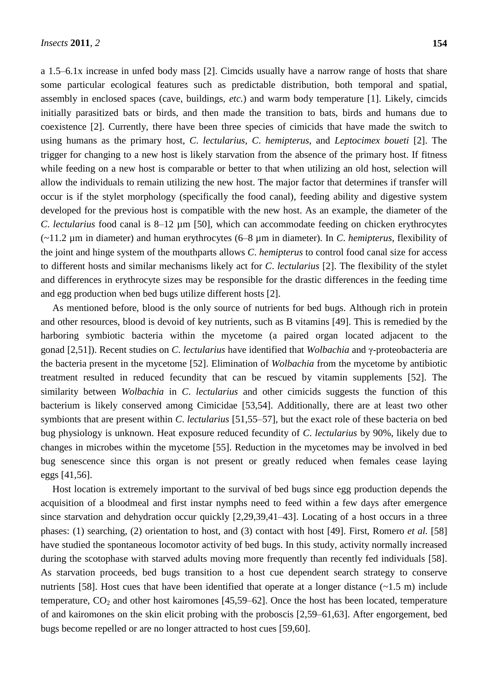a 1.5–6.1x increase in unfed body mass [2]. Cimcids usually have a narrow range of hosts that share some particular ecological features such as predictable distribution, both temporal and spatial, assembly in enclosed spaces (cave, buildings, *etc.*) and warm body temperature [1]. Likely, cimcids initially parasitized bats or birds, and then made the transition to bats, birds and humans due to coexistence [2]. Currently, there have been three species of cimicids that have made the switch to using humans as the primary host, *C*. *lectularius*, *C*. *hemipterus*, and *Leptocimex boueti* [2]. The trigger for changing to a new host is likely starvation from the absence of the primary host. If fitness while feeding on a new host is comparable or better to that when utilizing an old host, selection will allow the individuals to remain utilizing the new host. The major factor that determines if transfer will occur is if the stylet morphology (specifically the food canal), feeding ability and digestive system developed for the previous host is compatible with the new host. As an example, the diameter of the *C*. *lectularius* food canal is 8–12 µm [50], which can accommodate feeding on chicken erythrocytes (~11.2 µm in diameter) and human erythrocytes (6–8 µm in diameter). In *C*. *hemipterus*, flexibility of the joint and hinge system of the mouthparts allows *C*. *hemipterus* to control food canal size for access to different hosts and similar mechanisms likely act for *C*. *lectularius* [2]. The flexibility of the stylet and differences in erythrocyte sizes may be responsible for the drastic differences in the feeding time and egg production when bed bugs utilize different hosts [2].

As mentioned before, blood is the only source of nutrients for bed bugs. Although rich in protein and other resources, blood is devoid of key nutrients, such as B vitamins [49]. This is remedied by the harboring symbiotic bacteria within the mycetome (a paired organ located adjacent to the gonad [2,51]). Recent studies on *C*. *lectularius* have identified that *Wolbachia* and γ-proteobacteria are the bacteria present in the mycetome [52]. Elimination of *Wolbachia* from the mycetome by antibiotic treatment resulted in reduced fecundity that can be rescued by vitamin supplements [52]. The similarity between *Wolbachia* in *C*. *lectularius* and other cimicids suggests the function of this bacterium is likely conserved among Cimicidae [53,54]. Additionally, there are at least two other symbionts that are present within *C*. *lectularius* [51,55–57], but the exact role of these bacteria on bed bug physiology is unknown. Heat exposure reduced fecundity of *C*. *lectularius* by 90%, likely due to changes in microbes within the mycetome [55]. Reduction in the mycetomes may be involved in bed bug senescence since this organ is not present or greatly reduced when females cease laying eggs [41,56].

Host location is extremely important to the survival of bed bugs since egg production depends the acquisition of a bloodmeal and first instar nymphs need to feed within a few days after emergence since starvation and dehydration occur quickly [2,29,39,41–43]. Locating of a host occurs in a three phases: (1) searching, (2) orientation to host, and (3) contact with host [49]. First, Romero *et al.* [58] have studied the spontaneous locomotor activity of bed bugs. In this study, activity normally increased during the scotophase with starved adults moving more frequently than recently fed individuals [58]. As starvation proceeds, bed bugs transition to a host cue dependent search strategy to conserve nutrients [58]. Host cues that have been identified that operate at a longer distance (~1.5 m) include temperature,  $CO<sub>2</sub>$  and other host kairomones [45,59–62]. Once the host has been located, temperature of and kairomones on the skin elicit probing with the proboscis [2,59–61,63]. After engorgement, bed bugs become repelled or are no longer attracted to host cues [59,60].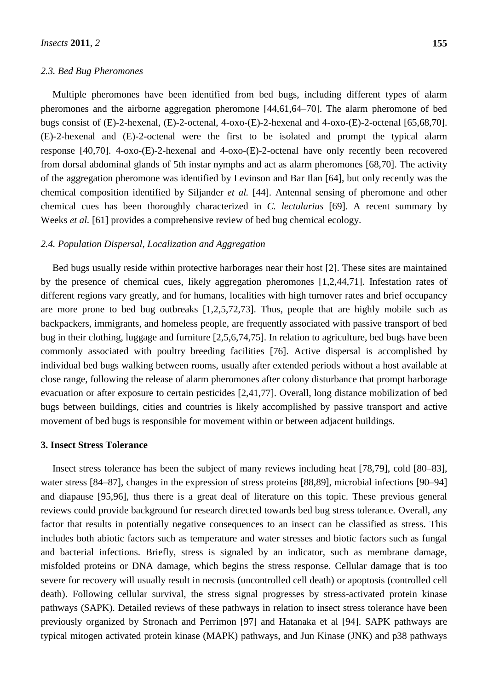#### *2.3. Bed Bug Pheromones*

Multiple pheromones have been identified from bed bugs, including different types of alarm pheromones and the airborne aggregation pheromone [44,61,64–70]. The alarm pheromone of bed bugs consist of (E)-2-hexenal, (E)-2-octenal, 4-oxo-(E)-2-hexenal and 4-oxo-(E)-2-octenal [65,68,70]. (E)-2-hexenal and (E)-2-octenal were the first to be isolated and prompt the typical alarm response [40,70]. 4-oxo-(E)-2-hexenal and 4-oxo-(E)-2-octenal have only recently been recovered from dorsal abdominal glands of 5th instar nymphs and act as alarm pheromones [68,70]. The activity of the aggregation pheromone was identified by Levinson and Bar Ilan [64], but only recently was the chemical composition identified by Siljander *et al.* [44]. Antennal sensing of pheromone and other chemical cues has been thoroughly characterized in *C. lectularius* [69]. A recent summary by Weeks *et al.* [61] provides a comprehensive review of bed bug chemical ecology.

#### *2.4. Population Dispersal, Localization and Aggregation*

Bed bugs usually reside within protective harborages near their host [2]. These sites are maintained by the presence of chemical cues, likely aggregation pheromones [1,2,44,71]. Infestation rates of different regions vary greatly, and for humans, localities with high turnover rates and brief occupancy are more prone to bed bug outbreaks [1,2,5,72,73]. Thus, people that are highly mobile such as backpackers, immigrants, and homeless people, are frequently associated with passive transport of bed bug in their clothing, luggage and furniture [2,5,6,74,75]. In relation to agriculture, bed bugs have been commonly associated with poultry breeding facilities [76]. Active dispersal is accomplished by individual bed bugs walking between rooms, usually after extended periods without a host available at close range, following the release of alarm pheromones after colony disturbance that prompt harborage evacuation or after exposure to certain pesticides [2,41,77]. Overall, long distance mobilization of bed bugs between buildings, cities and countries is likely accomplished by passive transport and active movement of bed bugs is responsible for movement within or between adjacent buildings.

#### **3. Insect Stress Tolerance**

Insect stress tolerance has been the subject of many reviews including heat [78,79], cold [80–83], water stress [84–87], changes in the expression of stress proteins [88,89], microbial infections [90–94] and diapause [95,96], thus there is a great deal of literature on this topic. These previous general reviews could provide background for research directed towards bed bug stress tolerance. Overall, any factor that results in potentially negative consequences to an insect can be classified as stress. This includes both abiotic factors such as temperature and water stresses and biotic factors such as fungal and bacterial infections. Briefly, stress is signaled by an indicator, such as membrane damage, misfolded proteins or DNA damage, which begins the stress response. Cellular damage that is too severe for recovery will usually result in necrosis (uncontrolled cell death) or apoptosis (controlled cell death). Following cellular survival, the stress signal progresses by stress-activated protein kinase pathways (SAPK). Detailed reviews of these pathways in relation to insect stress tolerance have been previously organized by Stronach and Perrimon [97] and Hatanaka et al [94]. SAPK pathways are typical mitogen activated protein kinase (MAPK) pathways, and Jun Kinase (JNK) and p38 pathways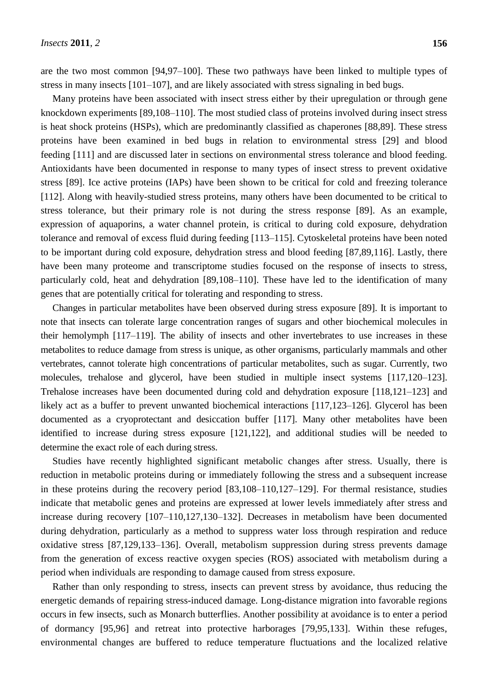are the two most common [94,97–100]. These two pathways have been linked to multiple types of stress in many insects [101–107], and are likely associated with stress signaling in bed bugs.

Many proteins have been associated with insect stress either by their upregulation or through gene knockdown experiments [89,108–110]. The most studied class of proteins involved during insect stress is heat shock proteins (HSPs), which are predominantly classified as chaperones [88,89]. These stress proteins have been examined in bed bugs in relation to environmental stress [29] and blood feeding [111] and are discussed later in sections on environmental stress tolerance and blood feeding. Antioxidants have been documented in response to many types of insect stress to prevent oxidative stress [89]. Ice active proteins (IAPs) have been shown to be critical for cold and freezing tolerance [112]. Along with heavily-studied stress proteins, many others have been documented to be critical to stress tolerance, but their primary role is not during the stress response [89]. As an example, expression of aquaporins, a water channel protein, is critical to during cold exposure, dehydration tolerance and removal of excess fluid during feeding [113–115]. Cytoskeletal proteins have been noted to be important during cold exposure, dehydration stress and blood feeding [87,89,116]. Lastly, there have been many proteome and transcriptome studies focused on the response of insects to stress, particularly cold, heat and dehydration [89,108–110]. These have led to the identification of many genes that are potentially critical for tolerating and responding to stress.

Changes in particular metabolites have been observed during stress exposure [89]. It is important to note that insects can tolerate large concentration ranges of sugars and other biochemical molecules in their hemolymph [117–119]. The ability of insects and other invertebrates to use increases in these metabolites to reduce damage from stress is unique, as other organisms, particularly mammals and other vertebrates, cannot tolerate high concentrations of particular metabolites, such as sugar. Currently, two molecules, trehalose and glycerol, have been studied in multiple insect systems [117,120–123]. Trehalose increases have been documented during cold and dehydration exposure [118,121–123] and likely act as a buffer to prevent unwanted biochemical interactions [117,123–126]. Glycerol has been documented as a cryoprotectant and desiccation buffer [117]. Many other metabolites have been identified to increase during stress exposure [121,122], and additional studies will be needed to determine the exact role of each during stress.

Studies have recently highlighted significant metabolic changes after stress. Usually, there is reduction in metabolic proteins during or immediately following the stress and a subsequent increase in these proteins during the recovery period [83,108–110,127–129]. For thermal resistance, studies indicate that metabolic genes and proteins are expressed at lower levels immediately after stress and increase during recovery [107–110,127,130–132]. Decreases in metabolism have been documented during dehydration, particularly as a method to suppress water loss through respiration and reduce oxidative stress [87,129,133–136]. Overall, metabolism suppression during stress prevents damage from the generation of excess reactive oxygen species (ROS) associated with metabolism during a period when individuals are responding to damage caused from stress exposure.

Rather than only responding to stress, insects can prevent stress by avoidance, thus reducing the energetic demands of repairing stress-induced damage. Long-distance migration into favorable regions occurs in few insects, such as Monarch butterflies. Another possibility at avoidance is to enter a period of dormancy [95,96] and retreat into protective harborages [79,95,133]. Within these refuges, environmental changes are buffered to reduce temperature fluctuations and the localized relative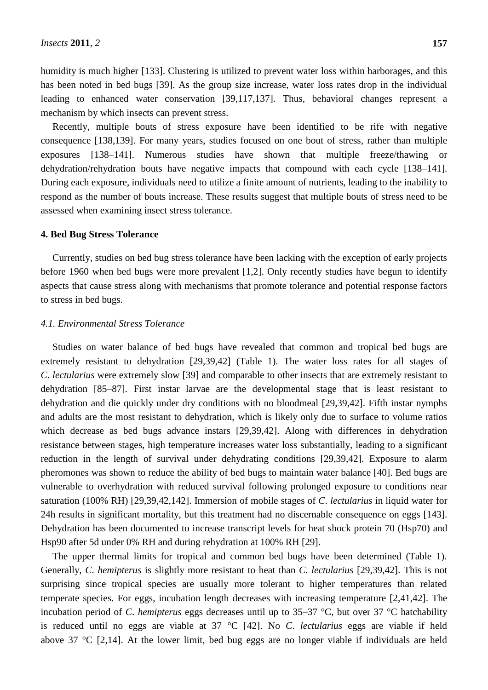humidity is much higher [133]. Clustering is utilized to prevent water loss within harborages, and this has been noted in bed bugs [39]. As the group size increase, water loss rates drop in the individual leading to enhanced water conservation [39,117,137]. Thus, behavioral changes represent a mechanism by which insects can prevent stress.

Recently, multiple bouts of stress exposure have been identified to be rife with negative consequence [138,139]. For many years, studies focused on one bout of stress, rather than multiple exposures [138–141]. Numerous studies have shown that multiple freeze/thawing or dehydration/rehydration bouts have negative impacts that compound with each cycle [138–141]. During each exposure, individuals need to utilize a finite amount of nutrients, leading to the inability to respond as the number of bouts increase. These results suggest that multiple bouts of stress need to be assessed when examining insect stress tolerance.

#### **4. Bed Bug Stress Tolerance**

Currently, studies on bed bug stress tolerance have been lacking with the exception of early projects before 1960 when bed bugs were more prevalent [1,2]. Only recently studies have begun to identify aspects that cause stress along with mechanisms that promote tolerance and potential response factors to stress in bed bugs.

#### *4.1. Environmental Stress Tolerance*

Studies on water balance of bed bugs have revealed that common and tropical bed bugs are extremely resistant to dehydration [29,39,42] (Table 1). The water loss rates for all stages of *C*. *lectularius* were extremely slow [39] and comparable to other insects that are extremely resistant to dehydration [85–87]. First instar larvae are the developmental stage that is least resistant to dehydration and die quickly under dry conditions with no bloodmeal [29,39,42]. Fifth instar nymphs and adults are the most resistant to dehydration, which is likely only due to surface to volume ratios which decrease as bed bugs advance instars [29,39,42]. Along with differences in dehydration resistance between stages, high temperature increases water loss substantially, leading to a significant reduction in the length of survival under dehydrating conditions [29,39,42]. Exposure to alarm pheromones was shown to reduce the ability of bed bugs to maintain water balance [40]. Bed bugs are vulnerable to overhydration with reduced survival following prolonged exposure to conditions near saturation (100% RH) [29,39,42,142]. Immersion of mobile stages of *C*. *lectularius* in liquid water for 24h results in significant mortality, but this treatment had no discernable consequence on eggs [143]. Dehydration has been documented to increase transcript levels for heat shock protein 70 (Hsp70) and Hsp90 after 5d under 0% RH and during rehydration at 100% RH [29].

The upper thermal limits for tropical and common bed bugs have been determined (Table 1). Generally, *C*. *hemipterus* is slightly more resistant to heat than *C*. *lectularius* [29,39,42]. This is not surprising since tropical species are usually more tolerant to higher temperatures than related temperate species. For eggs, incubation length decreases with increasing temperature [2,41,42]. The incubation period of *C. hemipterus* eggs decreases until up to  $35-37$  °C, but over  $37$  °C hatchability is reduced until no eggs are viable at 37 °C [42]. No *C*. *lectularius* eggs are viable if held above 37  $\mathbb{C}$  [2,14]. At the lower limit, bed bug eggs are no longer viable if individuals are held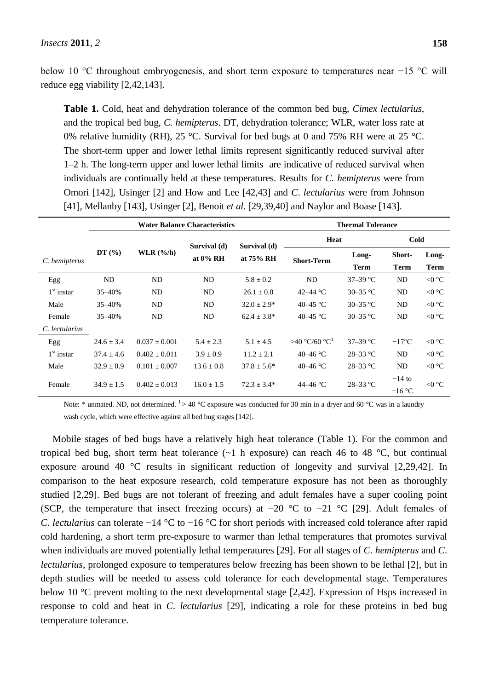below 10 °C throughout embryogenesis, and short term exposure to temperatures near −15 °C will reduce egg viability [2,42,143].

**Table 1.** Cold, heat and dehydration tolerance of the common bed bug, *Cimex lectularius*, and the tropical bed bug, *C. hemipterus*. DT, dehydration tolerance; WLR, water loss rate at 0% relative humidity (RH), 25 °C. Survival for bed bugs at 0 and 75% RH were at 25 °C. The short-term upper and lower lethal limits represent significantly reduced survival after 1–2 h. The long-term upper and lower lethal limits are indicative of reduced survival when individuals are continually held at these temperatures. Results for *C. hemipterus* were from Omori [142], Usinger [2] and How and Lee [42,43] and *C*. *lectularius* were from Johnson [41], Mellanby [143], Usinger [2], Benoit *et al.* [29,39,40] and Naylor and Boase [143].

|                | <b>Water Balance Characteristics</b> |                   |                             |                           | <b>Thermal Tolerance</b>  |                     |                 |                 |
|----------------|--------------------------------------|-------------------|-----------------------------|---------------------------|---------------------------|---------------------|-----------------|-----------------|
|                |                                      |                   | Survival (d)<br>at $0\%$ RH | Survival (d)<br>at 75% RH | Heat                      |                     | Cold            |                 |
| C. hemipterus  | DT(%)                                | WLR $(%h)$        |                             |                           | <b>Short-Term</b>         | Long-               | <b>Short-</b>   | Long-           |
|                |                                      |                   |                             |                           |                           | <b>Term</b>         | Term            | <b>Term</b>     |
| Egg            | ND                                   | ND                | <b>ND</b>                   | $5.8 \pm 0.2$             | <b>ND</b>                 | 37-39 $\mathbb{C}$  | ND              | $< 0 \text{ C}$ |
| $1st$ instar   | 35-40%                               | ND                | <b>ND</b>                   | $26.1 \pm 0.8$            | 42–44 $\mathcal{C}$       | 30–35 $\mathbb{C}$  | ND              | $< 0 \text{ C}$ |
| Male           | 35-40%                               | ND                | <b>ND</b>                   | $32.0 \pm 2.9^*$          | 40–45 °C                  | 30–35 $\mathcal{C}$ | ND              | $< 0 \text{ C}$ |
| Female         | 35-40%                               | ND                | <b>ND</b>                   | $62.4 \pm 3.8^*$          | 40–45 °C                  | 30–35 $\mathbb{C}$  | ND              | $< 0 \text{ C}$ |
| C. lectularius |                                      |                   |                             |                           |                           |                     |                 |                 |
| Egg            | $24.6 \pm 3.4$                       | $0.037 \pm 0.001$ | $5.4 \pm 2.3$               | $5.1 \pm 4.5$             | $>40$ C/60 C <sup>1</sup> | 37-39 $\mathbb{C}$  | $-17^{\circ}$ C | $< 0$ °C        |
| $1st$ instar   | $37.4 \pm 4.6$                       | $0.402 \pm 0.011$ | $3.9 \pm 0.9$               | $11.2 \pm 2.1$            | 40–46 $\mathcal{C}$       | $28 - 33$ °C        | ND              | $< 0 \text{ C}$ |
| Male           | $32.9 \pm 0.9$                       | $0.101 \pm 0.007$ | $13.6 \pm 0.8$              | $37.8 \pm 5.6^*$          | 40–46 $\mathcal{C}$       | $28 - 33$ °C        | ND              | $< 0 \text{ C}$ |
| Female         | $34.9 \pm 1.5$                       | $0.402 + 0.013$   | $16.0 \pm 1.5$              | $72.3 \pm 3.4*$           | 44–46 °C                  | $28 - 33$ °C        | $-14$ to        | $< 0 \text{ C}$ |
|                |                                      |                   |                             |                           |                           |                     | $-16$ °C        |                 |

Note: \* unmated. ND, not determined. <sup>1</sup> > 40 °C exposure was conducted for 30 min in a dryer and 60 °C was in a laundry wash cycle, which were effective against all bed bug stages [142].

Mobile stages of bed bugs have a relatively high heat tolerance (Table 1). For the common and tropical bed bug, short term heat tolerance  $(-1)$  h exposure) can reach 46 to 48 °C, but continual exposure around 40  $\degree$ C results in significant reduction of longevity and survival [2,29,42]. In comparison to the heat exposure research, cold temperature exposure has not been as thoroughly studied [2,29]. Bed bugs are not tolerant of freezing and adult females have a super cooling point (SCP, the temperature that insect freezing occurs) at  $-20$  °C to  $-21$  °C [29]. Adult females of *C. lectularius* can tolerate −14 °C to −16 °C for short periods with increased cold tolerance after rapid cold hardening, a short term pre-exposure to warmer than lethal temperatures that promotes survival when individuals are moved potentially lethal temperatures [29]. For all stages of *C*. *hemipterus* and *C*. *lectularius*, prolonged exposure to temperatures below freezing has been shown to be lethal [2], but in depth studies will be needed to assess cold tolerance for each developmental stage. Temperatures below 10  $\degree$ C prevent molting to the next developmental stage [2,42]. Expression of Hsps increased in response to cold and heat in *C*. *lectularius* [29], indicating a role for these proteins in bed bug temperature tolerance.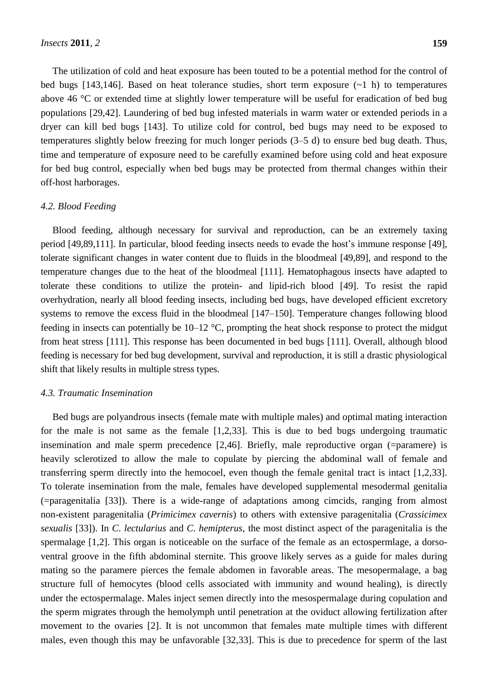The utilization of cold and heat exposure has been touted to be a potential method for the control of bed bugs [143,146]. Based on heat tolerance studies, short term exposure  $(-1)$  h) to temperatures above 46  $\degree$ C or extended time at slightly lower temperature will be useful for eradication of bed bug populations [29,42]. Laundering of bed bug infested materials in warm water or extended periods in a dryer can kill bed bugs [143]. To utilize cold for control, bed bugs may need to be exposed to temperatures slightly below freezing for much longer periods (3–5 d) to ensure bed bug death. Thus, time and temperature of exposure need to be carefully examined before using cold and heat exposure for bed bug control, especially when bed bugs may be protected from thermal changes within their off-host harborages.

#### *4.2. Blood Feeding*

Blood feeding, although necessary for survival and reproduction, can be an extremely taxing period [49,89,111]. In particular, blood feeding insects needs to evade the host's immune response [49], tolerate significant changes in water content due to fluids in the bloodmeal [49,89], and respond to the temperature changes due to the heat of the bloodmeal [111]. Hematophagous insects have adapted to tolerate these conditions to utilize the protein- and lipid-rich blood [49]. To resist the rapid overhydration, nearly all blood feeding insects, including bed bugs, have developed efficient excretory systems to remove the excess fluid in the bloodmeal [147–150]. Temperature changes following blood feeding in insects can potentially be  $10-12$  °C, prompting the heat shock response to protect the midgut from heat stress [111]. This response has been documented in bed bugs [111]. Overall, although blood feeding is necessary for bed bug development, survival and reproduction, it is still a drastic physiological shift that likely results in multiple stress types.

#### *4.3. Traumatic Insemination*

Bed bugs are polyandrous insects (female mate with multiple males) and optimal mating interaction for the male is not same as the female [1,2,33]. This is due to bed bugs undergoing traumatic insemination and male sperm precedence [2,46]. Briefly, male reproductive organ (=paramere) is heavily sclerotized to allow the male to copulate by piercing the abdominal wall of female and transferring sperm directly into the hemocoel, even though the female genital tract is intact [1,2,33]. To tolerate insemination from the male, females have developed supplemental mesodermal genitalia (=paragenitalia [33]). There is a wide-range of adaptations among cimcids, ranging from almost non-existent paragenitalia (*Primicimex cavernis*) to others with extensive paragenitalia (*Crassicimex sexualis* [33]). In *C*. *lectularius* and *C*. *hemipterus*, the most distinct aspect of the paragenitalia is the spermalage [1,2]. This organ is noticeable on the surface of the female as an ectospermlage, a dorsoventral groove in the fifth abdominal sternite. This groove likely serves as a guide for males during mating so the paramere pierces the female abdomen in favorable areas. The mesopermalage, a bag structure full of hemocytes (blood cells associated with immunity and wound healing), is directly under the ectospermalage. Males inject semen directly into the mesospermalage during copulation and the sperm migrates through the hemolymph until penetration at the oviduct allowing fertilization after movement to the ovaries [2]. It is not uncommon that females mate multiple times with different males, even though this may be unfavorable [32,33]. This is due to precedence for sperm of the last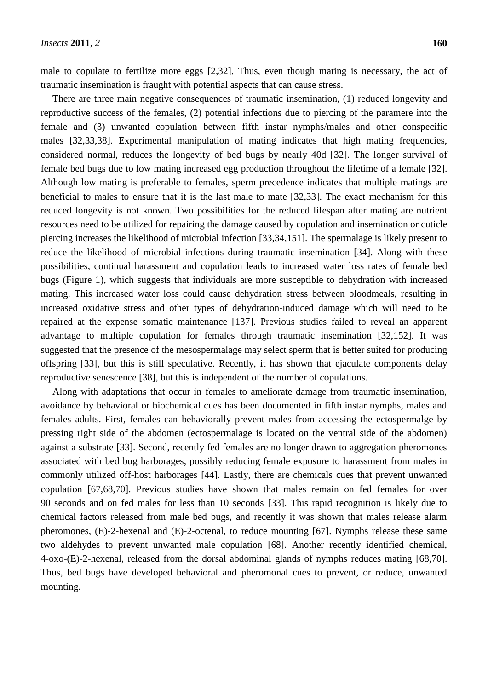male to copulate to fertilize more eggs [2,32]. Thus, even though mating is necessary, the act of traumatic insemination is fraught with potential aspects that can cause stress.

There are three main negative consequences of traumatic insemination, (1) reduced longevity and reproductive success of the females, (2) potential infections due to piercing of the paramere into the female and (3) unwanted copulation between fifth instar nymphs/males and other conspecific males [32,33,38]. Experimental manipulation of mating indicates that high mating frequencies, considered normal, reduces the longevity of bed bugs by nearly 40d [32]. The longer survival of female bed bugs due to low mating increased egg production throughout the lifetime of a female [32]. Although low mating is preferable to females, sperm precedence indicates that multiple matings are beneficial to males to ensure that it is the last male to mate [32,33]. The exact mechanism for this reduced longevity is not known. Two possibilities for the reduced lifespan after mating are nutrient resources need to be utilized for repairing the damage caused by copulation and insemination or cuticle piercing increases the likelihood of microbial infection [33,34,151]. The spermalage is likely present to reduce the likelihood of microbial infections during traumatic insemination [34]. Along with these possibilities, continual harassment and copulation leads to increased water loss rates of female bed bugs (Figure 1), which suggests that individuals are more susceptible to dehydration with increased mating. This increased water loss could cause dehydration stress between bloodmeals, resulting in increased oxidative stress and other types of dehydration-induced damage which will need to be repaired at the expense somatic maintenance [137]. Previous studies failed to reveal an apparent advantage to multiple copulation for females through traumatic insemination [32,152]. It was suggested that the presence of the mesospermalage may select sperm that is better suited for producing offspring [33], but this is still speculative. Recently, it has shown that ejaculate components delay reproductive senescence [38], but this is independent of the number of copulations.

Along with adaptations that occur in females to ameliorate damage from traumatic insemination, avoidance by behavioral or biochemical cues has been documented in fifth instar nymphs, males and females adults. First, females can behaviorally prevent males from accessing the ectospermalge by pressing right side of the abdomen (ectospermalage is located on the ventral side of the abdomen) against a substrate [33]. Second, recently fed females are no longer drawn to aggregation pheromones associated with bed bug harborages, possibly reducing female exposure to harassment from males in commonly utilized off-host harborages [44]. Lastly, there are chemicals cues that prevent unwanted copulation [67,68,70]. Previous studies have shown that males remain on fed females for over 90 seconds and on fed males for less than 10 seconds [33]. This rapid recognition is likely due to chemical factors released from male bed bugs, and recently it was shown that males release alarm pheromones, (E)-2-hexenal and (E)-2-octenal, to reduce mounting [67]. Nymphs release these same two aldehydes to prevent unwanted male copulation [68]. Another recently identified chemical, 4-oxo-(E)-2-hexenal, released from the dorsal abdominal glands of nymphs reduces mating [68,70]. Thus, bed bugs have developed behavioral and pheromonal cues to prevent, or reduce, unwanted mounting.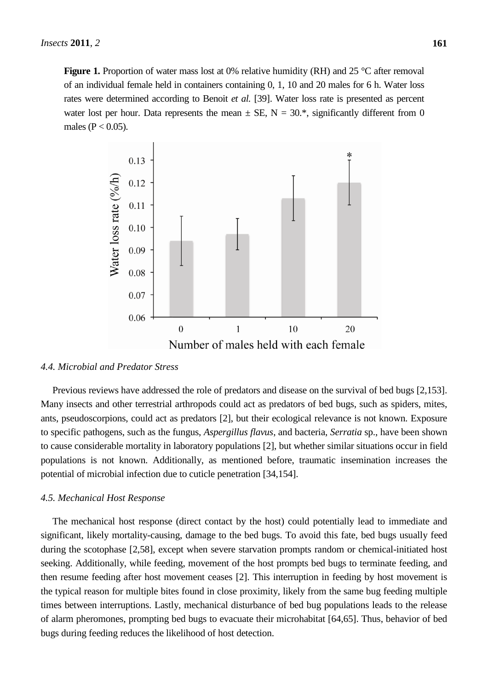**Figure 1.** Proportion of water mass lost at 0% relative humidity (RH) and 25 °C after removal of an individual female held in containers containing 0, 1, 10 and 20 males for 6 h. Water loss rates were determined according to Benoit *et al.* [39]. Water loss rate is presented as percent water lost per hour. Data represents the mean  $\pm$  SE, N = 30.\*, significantly different from 0 males ( $P < 0.05$ ).



#### *4.4. Microbial and Predator Stress*

Previous reviews have addressed the role of predators and disease on the survival of bed bugs [2,153]. Many insects and other terrestrial arthropods could act as predators of bed bugs, such as spiders, mites, ants, pseudoscorpions, could act as predators [2], but their ecological relevance is not known. Exposure to specific pathogens, such as the fungus, *Aspergillus flavus*, and bacteria, *Serratia* sp., have been shown to cause considerable mortality in laboratory populations [2], but whether similar situations occur in field populations is not known. Additionally, as mentioned before, traumatic insemination increases the potential of microbial infection due to cuticle penetration [34,154].

#### *4.5. Mechanical Host Response*

The mechanical host response (direct contact by the host) could potentially lead to immediate and significant, likely mortality-causing, damage to the bed bugs. To avoid this fate, bed bugs usually feed during the scotophase [2,58], except when severe starvation prompts random or chemical-initiated host seeking. Additionally, while feeding, movement of the host prompts bed bugs to terminate feeding, and then resume feeding after host movement ceases [2]. This interruption in feeding by host movement is the typical reason for multiple bites found in close proximity, likely from the same bug feeding multiple times between interruptions. Lastly, mechanical disturbance of bed bug populations leads to the release of alarm pheromones, prompting bed bugs to evacuate their microhabitat [64,65]. Thus, behavior of bed bugs during feeding reduces the likelihood of host detection.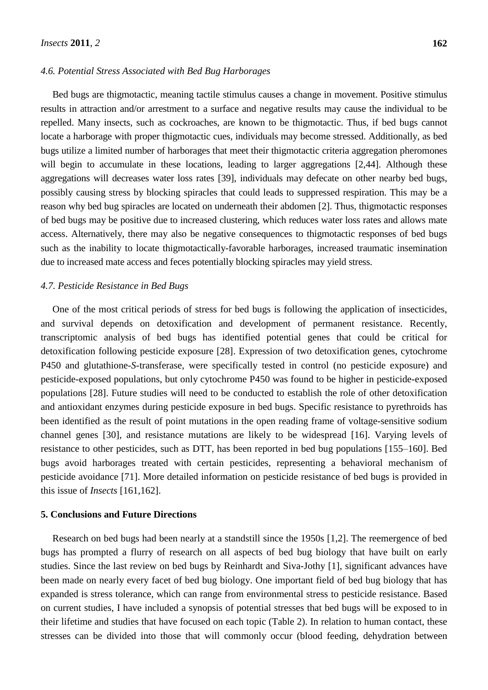#### *4.6. Potential Stress Associated with Bed Bug Harborages*

Bed bugs are thigmotactic, meaning tactile stimulus causes a change in movement. Positive stimulus results in attraction and/or arrestment to a surface and negative results may cause the individual to be repelled. Many insects, such as cockroaches, are known to be thigmotactic. Thus, if bed bugs cannot locate a harborage with proper thigmotactic cues, individuals may become stressed. Additionally, as bed bugs utilize a limited number of harborages that meet their thigmotactic criteria aggregation pheromones will begin to accumulate in these locations, leading to larger aggregations [2,44]. Although these aggregations will decreases water loss rates [39], individuals may defecate on other nearby bed bugs, possibly causing stress by blocking spiracles that could leads to suppressed respiration. This may be a reason why bed bug spiracles are located on underneath their abdomen [2]. Thus, thigmotactic responses of bed bugs may be positive due to increased clustering, which reduces water loss rates and allows mate access. Alternatively, there may also be negative consequences to thigmotactic responses of bed bugs such as the inability to locate thigmotactically-favorable harborages, increased traumatic insemination due to increased mate access and feces potentially blocking spiracles may yield stress.

#### *4.7. Pesticide Resistance in Bed Bugs*

One of the most critical periods of stress for bed bugs is following the application of insecticides, and survival depends on detoxification and development of permanent resistance. Recently, transcriptomic analysis of bed bugs has identified potential genes that could be critical for detoxification following pesticide exposure [28]. Expression of two detoxification genes, cytochrome P450 and glutathione-*S*-transferase, were specifically tested in control (no pesticide exposure) and pesticide-exposed populations, but only cytochrome P450 was found to be higher in pesticide-exposed populations [28]. Future studies will need to be conducted to establish the role of other detoxification and antioxidant enzymes during pesticide exposure in bed bugs. Specific resistance to pyrethroids has been identified as the result of point mutations in the open reading frame of voltage-sensitive sodium channel genes [30], and resistance mutations are likely to be widespread [16]. Varying levels of resistance to other pesticides, such as DTT, has been reported in bed bug populations [155–160]. Bed bugs avoid harborages treated with certain pesticides, representing a behavioral mechanism of pesticide avoidance [71]. More detailed information on pesticide resistance of bed bugs is provided in this issue of *Insects* [161,162].

#### **5. Conclusions and Future Directions**

Research on bed bugs had been nearly at a standstill since the 1950s [1,2]. The reemergence of bed bugs has prompted a flurry of research on all aspects of bed bug biology that have built on early studies. Since the last review on bed bugs by Reinhardt and Siva-Jothy [1], significant advances have been made on nearly every facet of bed bug biology. One important field of bed bug biology that has expanded is stress tolerance, which can range from environmental stress to pesticide resistance. Based on current studies, I have included a synopsis of potential stresses that bed bugs will be exposed to in their lifetime and studies that have focused on each topic (Table 2). In relation to human contact, these stresses can be divided into those that will commonly occur (blood feeding, dehydration between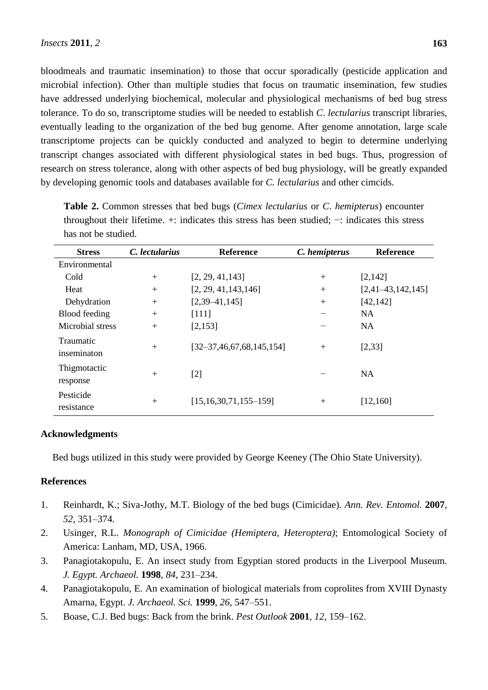bloodmeals and traumatic insemination) to those that occur sporadically (pesticide application and microbial infection). Other than multiple studies that focus on traumatic insemination, few studies have addressed underlying biochemical, molecular and physiological mechanisms of bed bug stress tolerance. To do so, transcriptome studies will be needed to establish *C*. *lectularius* transcript libraries, eventually leading to the organization of the bed bug genome. After genome annotation, large scale transcriptome projects can be quickly conducted and analyzed to begin to determine underlying transcript changes associated with different physiological states in bed bugs. Thus, progression of research on stress tolerance, along with other aspects of bed bug physiology, will be greatly expanded by developing genomic tools and databases available for *C. lectularius* and other cimcids.

| <b>Stress</b>            | C. lectularius | <b>Reference</b>                | C. hemipterus | <b>Reference</b>    |
|--------------------------|----------------|---------------------------------|---------------|---------------------|
| Environmental            |                |                                 |               |                     |
| Cold                     | $+$            | [2, 29, 41, 143]                | $+$           | [2,142]             |
| Heat                     | $+$            | [2, 29, 41, 143, 146]           | $+$           | $[2,41-43,142,145]$ |
| Dehydration              | $+$            | $[2,39-41,145]$                 | $+$           | [42, 142]           |
| Blood feeding            | $+$            | [111]                           |               | NA                  |
| Microbial stress         | $+$            | [2, 153]                        |               | <b>NA</b>           |
| Traumatic<br>inseminaton | $+$            | $[32-37, 46, 67, 68, 145, 154]$ | $+$           | [2, 33]             |
| Thigmotactic<br>response | $+$            | $[2]$                           |               | <b>NA</b>           |
| Pesticide<br>resistance  | $+$            | $[15, 16, 30, 71, 155 - 159]$   | $+$           | [12, 160]           |

**Table 2.** Common stresses that bed bugs (*Cimex lectularius* or *C*. *hemipterus*) encounter throughout their lifetime. +: indicates this stress has been studied; −: indicates this stress has not be studied.

# **Acknowledgments**

Bed bugs utilized in this study were provided by George Keeney (The Ohio State University).

## **References**

- 1. Reinhardt, K.; Siva-Jothy, M.T. Biology of the bed bugs (Cimicidae). *Ann. Rev. Entomol.* **2007**, *52*, 351–374.
- 2. Usinger, R.L. *Monograph of Cimicidae (Hemiptera*, *Heteroptera)*; Entomological Society of America: Lanham, MD, USA, 1966.
- 3. Panagiotakopulu, E. An insect study from Egyptian stored products in the Liverpool Museum. *J. Egypt. Archaeol.* **1998**, *84*, 231–234.
- 4. Panagiotakopulu, E. An examination of biological materials from coprolites from XVIII Dynasty Amarna, Egypt. *J. Archaeol. Sci.* **1999**, *26*, 547–551.
- 5. Boase, C.J. Bed bugs: Back from the brink. *Pest Outlook* **2001**, *12*, 159–162.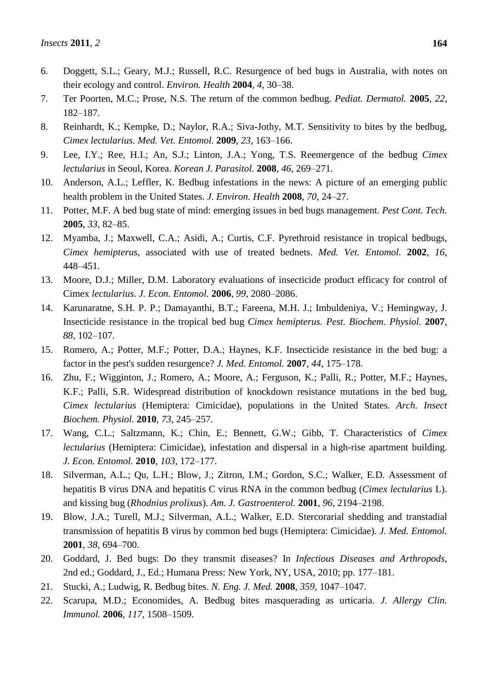- 6. Doggett, S.L.; Geary, M.J.; Russell, R.C. Resurgence of bed bugs in Australia, with notes on their ecology and control. *Environ. Health* **2004**, *4*, 30–38.
- 7. Ter Poorten, M.C.; Prose, N.S. The return of the common bedbug. *Pediat. Dermatol.* **2005**, *22*, 182–187.
- 8. Reinhardt, K.; Kempke, D.; Naylor, R.A.; Siva-Jothy, M.T. Sensitivity to bites by the bedbug, *Cimex lectularius*. *Med. Vet. Entomol.* **2009**, *23*, 163–166.
- 9. Lee, I.Y.; Ree, H.I.; An, S.J.; Linton, J.A.; Yong, T.S. Reemergence of the bedbug *Cimex lectularius* in Seoul, Korea. *Korean J. Parasitol.* **2008**, *46*, 269–271.
- 10. Anderson, A.L.; Leffler, K. Bedbug infestations in the news: A picture of an emerging public health problem in the United States. *J. Environ. Health* **2008**, *70*, 24–27.
- 11. Potter, M.F. A bed bug state of mind: emerging issues in bed bugs management. *Pest Cont. Tech.* **2005**, *33*, 82–85.
- 12. Myamba, J.; Maxwell, C.A.; Asidi, A.; Curtis, C.F. Pyrethroid resistance in tropical bedbugs, *Cimex hemipterus*, associated with use of treated bednets. *Med. Vet. Entomol.* **2002**, *16*, 448–451.
- 13. Moore, D.J.; Miller, D.M. Laboratory evaluations of insecticide product efficacy for control of Cimex *lectularius*. *J. Econ. Entomol.* **2006**, *99*, 2080–2086.
- 14. Karunaratne, S.H. P. P.; Damayanthi, B.T.; Fareena, M.H. J.; Imbuldeniya, V.; Hemingway, J. Insecticide resistance in the tropical bed bug *Cimex hemipterus. Pest. Biochem. Physiol.* **2007**, *88*, 102–107.
- 15. Romero, A.; Potter, M.F.; Potter, D.A.; Haynes, K.F. Insecticide resistance in the bed bug: a factor in the pest's sudden resurgence? *J. Med. Entomol.* **2007**, *44*, 175–178.
- 16. Zhu, F.; Wigginton, J.; Romero, A.; Moore, A.; Ferguson, K.; Palli, R.; Potter, M.F.; Haynes, K.F.; Palli, S.R. Widespread distribution of knockdown resistance mutations in the bed bug, *Cimex lectularius* (Hemiptera: Cimicidae), populations in the United States. *Arch. Insect Biochem. Physiol.* **2010**, *73*, 245–257.
- 17. Wang, C.L.; Saltzmann, K.; Chin, E.; Bennett, G.W.; Gibb, T. Characteristics of *Cimex lectularius* (Hemiptera: Cimicidae), infestation and dispersal in a high-rise apartment building. *J. Econ. Entomol.* **2010**, *103*, 172–177.
- 18. Silverman, A.L.; Qu, L.H.; Blow, J.; Zitron, I.M.; Gordon, S.C.; Walker, E.D. Assessment of hepatitis B virus DNA and hepatitis C virus RNA in the common bedbug (*Cimex lectularius* L). and kissing bug (*Rhodnius prolixus*). *Am. J. Gastroenterol.* **2001**, *96*, 2194–2198.
- 19. Blow, J.A.; Turell, M.J.; Silverman, A.L.; Walker, E.D. Stercorarial shedding and transtadial transmission of hepatitis B virus by common bed bugs (Hemiptera: Cimicidae). *J. Med. Entomol.* **2001**, *38*, 694–700.
- 20. Goddard, J. Bed bugs: Do they transmit diseases? In *Infectious Diseases and Arthropods*, 2nd ed.; Goddard, J., Ed.; Humana Press: New York, NY, USA, 2010; pp. 177–181.
- 21. Stucki, A.; Ludwig, R. Bedbug bites. *N. Eng. J. Med.* **2008**, *359*, 1047–1047.
- 22. Scarupa, M.D.; Economides, A. Bedbug bites masquerading as urticaria. *J. Allergy Clin. Immunol.* **2006**, *117*, 1508–1509.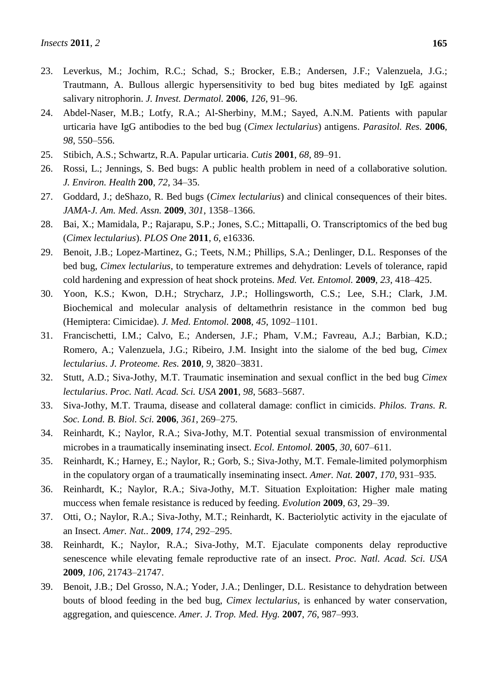- 23. Leverkus, M.; Jochim, R.C.; Schad, S.; Brocker, E.B.; Andersen, J.F.; Valenzuela, J.G.; Trautmann, A. Bullous allergic hypersensitivity to bed bug bites mediated by IgE against salivary nitrophorin. *J. Invest. Dermatol.* **2006**, *126*, 91–96.
- 24. Abdel-Naser, M.B.; Lotfy, R.A.; Al-Sherbiny, M.M.; Sayed, A.N.M. Patients with papular urticaria have IgG antibodies to the bed bug (*Cimex lectularius*) antigens. *Parasitol. Res.* **2006**, *98*, 550–556.
- 25. Stibich, A.S.; Schwartz, R.A. Papular urticaria. *Cutis* **2001**, *68*, 89–91.
- 26. Rossi, L.; Jennings, S. Bed bugs: A public health problem in need of a collaborative solution. *J. Environ. Health* **200**, *72*, 34–35.
- 27. Goddard, J.; deShazo, R. Bed bugs (*Cimex lectularius*) and clinical consequences of their bites. *JAMA-J. Am. Med. Assn.* **2009**, *301*, 1358–1366.
- 28. Bai, X.; Mamidala, P.; Rajarapu, S.P.; Jones, S.C.; Mittapalli, O. Transcriptomics of the bed bug (*Cimex lectularius*). *PLOS One* **2011**, *6*, e16336.
- 29. Benoit, J.B.; Lopez-Martinez, G.; Teets, N.M.; Phillips, S.A.; Denlinger, D.L. Responses of the bed bug, *Cimex lectularius*, to temperature extremes and dehydration: Levels of tolerance, rapid cold hardening and expression of heat shock proteins. *Med. Vet. Entomol.* **2009**, *23*, 418–425.
- 30. Yoon, K.S.; Kwon, D.H.; Strycharz, J.P.; Hollingsworth, C.S.; Lee, S.H.; Clark, J.M. Biochemical and molecular analysis of deltamethrin resistance in the common bed bug (Hemiptera: Cimicidae). *J. Med. Entomol.* **2008**, *45*, 1092–1101.
- 31. Francischetti, I.M.; Calvo, E.; Andersen, J.F.; Pham, V.M.; Favreau, A.J.; Barbian, K.D.; Romero, A.; Valenzuela, J.G.; Ribeiro, J.M. Insight into the sialome of the bed bug, *Cimex lectularius*. *J. Proteome. Res.* **2010**, *9*, 3820–3831.
- 32. Stutt, A.D.; Siva-Jothy, M.T. Traumatic insemination and sexual conflict in the bed bug *Cimex lectularius*. *Proc. Natl. Acad. Sci. USA* **2001**, *98*, 5683–5687.
- 33. Siva-Jothy, M.T. Trauma, disease and collateral damage: conflict in cimicids. *Philos. Trans. R. Soc. Lond. B. Biol. Sci.* **2006**, *361*, 269–275.
- 34. Reinhardt, K.; Naylor, R.A.; Siva-Jothy, M.T. Potential sexual transmission of environmental microbes in a traumatically inseminating insect. *Ecol. Entomol.* **2005**, *30*, 607–611.
- 35. Reinhardt, K.; Harney, E.; Naylor, R.; Gorb, S.; Siva-Jothy, M.T. Female-limited polymorphism in the copulatory organ of a traumatically inseminating insect. *Amer. Nat.* **2007**, *170*, 931–935.
- 36. Reinhardt, K.; Naylor, R.A.; Siva-Jothy, M.T. Situation Exploitation: Higher male mating muccess when female resistance is reduced by feeding. *Evolution* **2009**, *63*, 29–39.
- 37. Otti, O.; Naylor, R.A.; Siva-Jothy, M.T.; Reinhardt, K. Bacteriolytic activity in the ejaculate of an Insect. *Amer. Nat..* **2009**, *174*, 292–295.
- 38. Reinhardt, K.; Naylor, R.A.; Siva-Jothy, M.T. Ejaculate components delay reproductive senescence while elevating female reproductive rate of an insect. *Proc. Natl. Acad. Sci. USA* **2009**, *106*, 21743–21747.
- 39. Benoit, J.B.; Del Grosso, N.A.; Yoder, J.A.; Denlinger, D.L. Resistance to dehydration between bouts of blood feeding in the bed bug, *Cimex lectularius*, is enhanced by water conservation, aggregation, and quiescence. *Amer. J. Trop. Med. Hyg.* **2007**, *76*, 987–993.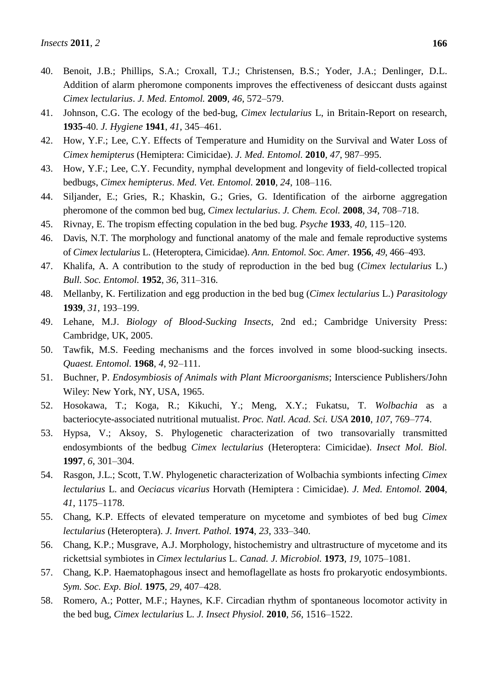- 41. Johnson, C.G. The ecology of the bed-bug, *Cimex lectularius* L, in Britain-Report on research, **1935**-40. *J. Hygiene* **1941**, *41*, 345–461.
- 42. How, Y.F.; Lee, C.Y. Effects of Temperature and Humidity on the Survival and Water Loss of *Cimex hemipterus* (Hemiptera: Cimicidae). *J. Med. Entomol.* **2010**, *47*, 987–995.
- 43. How, Y.F.; Lee, C.Y. Fecundity, nymphal development and longevity of field-collected tropical bedbugs, *Cimex hemipterus*. *Med. Vet. Entomol.* **2010**, *24*, 108–116.
- 44. Siljander, E.; Gries, R.; Khaskin, G.; Gries, G. Identification of the airborne aggregation pheromone of the common bed bug, *Cimex lectularius*. *J. Chem. Ecol.* **2008**, *34*, 708–718.
- 45. Rivnay, E. The tropism effecting copulation in the bed bug. *Psyche* **1933**, *40*, 115–120.
- 46. Davis, N.T. The morphology and functional anatomy of the male and female reproductive systems of *Cimex lectularius* L. (Heteroptera, Cimicidae). *Ann. Entomol. Soc. Amer.* **1956**, *49*, 466–493.
- 47. Khalifa, A. A contribution to the study of reproduction in the bed bug (*Cimex lectularius* L.) *Bull. Soc. Entomol.* **1952**, *36*, 311–316.
- 48. Mellanby, K. Fertilization and egg production in the bed bug (*Cimex lectularius* L.) *Parasitology* **1939**, *31*, 193–199.
- 49. Lehane, M.J. *Biology of Blood-Sucking Insects*, 2nd ed.; Cambridge University Press: Cambridge, UK, 2005.
- 50. Tawfik, M.S. Feeding mechanisms and the forces involved in some blood-sucking insects. *Quaest. Entomol.* **1968**, *4*, 92–111.
- 51. Buchner, P. *Endosymbiosis of Animals with Plant Microorganisms*; Interscience Publishers/John Wiley: New York, NY, USA, 1965.
- 52. Hosokawa, T.; Koga, R.; Kikuchi, Y.; Meng, X.Y.; Fukatsu, T. *Wolbachia* as a bacteriocyte-associated nutritional mutualist. *Proc. Natl. Acad. Sci. USA* **2010**, *107*, 769–774.
- 53. Hypsa, V.; Aksoy, S. Phylogenetic characterization of two transovarially transmitted endosymbionts of the bedbug *Cimex lectularius* (Heteroptera: Cimicidae). *Insect Mol. Biol.* **1997**, *6*, 301–304.
- 54. Rasgon, J.L.; Scott, T.W. Phylogenetic characterization of Wolbachia symbionts infecting *Cimex lectularius* L. and *Oeciacus vicarius* Horvath (Hemiptera : Cimicidae). *J. Med. Entomol.* **2004**, *41*, 1175–1178.
- 55. Chang, K.P. Effects of elevated temperature on mycetome and symbiotes of bed bug *Cimex lectularius* (Heteroptera). *J. Invert. Pathol.* **1974**, *23*, 333–340.
- 56. Chang, K.P.; Musgrave, A.J. Morphology, histochemistry and ultrastructure of mycetome and its rickettsial symbiotes in *Cimex lectularius* L. *Canad. J. Microbiol.* **1973**, *19*, 1075–1081.
- 57. Chang, K.P. Haematophagous insect and hemoflagellate as hosts fro prokaryotic endosymbionts. *Sym. Soc. Exp. Biol.* **1975**, *29*, 407–428.
- 58. Romero, A.; Potter, M.F.; Haynes, K.F. Circadian rhythm of spontaneous locomotor activity in the bed bug, *Cimex lectularius* L. *J. Insect Physiol.* **2010**, *56*, 1516–1522.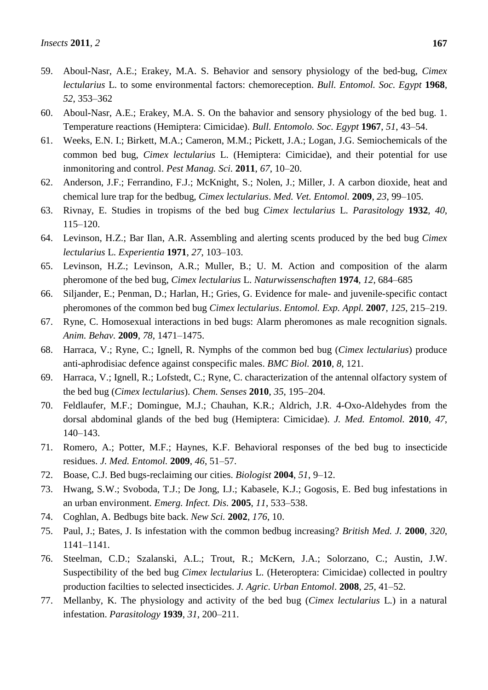- 59. Aboul-Nasr, A.E.; Erakey, M.A. S. Behavior and sensory physiology of the bed-bug, *Cimex lectularius* L. to some environmental factors: chemoreception. *Bull. Entomol. Soc. Egypt* **1968**, *52*, 353–362
- 60. Aboul-Nasr, A.E.; Erakey, M.A. S. On the bahavior and sensory physiology of the bed bug. 1. Temperature reactions (Hemiptera: Cimicidae). *Bull. Entomolo. Soc. Egypt* **1967**, *51*, 43–54.
- 61. Weeks, E.N. I.; Birkett, M.A.; Cameron, M.M.; Pickett, J.A.; Logan, J.G. Semiochemicals of the common bed bug, *Cimex lectularius* L. (Hemiptera: Cimicidae), and their potential for use inmonitoring and control. *Pest Manag. Sci.* **2011**, *67*, 10–20.
- 62. Anderson, J.F.; Ferrandino, F.J.; McKnight, S.; Nolen, J.; Miller, J. A carbon dioxide, heat and chemical lure trap for the bedbug, *Cimex lectularius*. *Med. Vet. Entomol.* **2009**, *23*, 99–105.
- 63. Rivnay, E. Studies in tropisms of the bed bug *Cimex lectularius* L. *Parasitology* **1932**, *40*, 115–120.
- 64. Levinson, H.Z.; Bar Ilan, A.R. Assembling and alerting scents produced by the bed bug *Cimex lectularius* L. *Experientia* **1971**, *27*, 103–103.
- 65. Levinson, H.Z.; Levinson, A.R.; Muller, B.; U. M. Action and composition of the alarm pheromone of the bed bug, *Cimex lectularius* L. *Naturwissenschaften* **1974**, *12*, 684–685
- 66. Siljander, E.; Penman, D.; Harlan, H.; Gries, G. Evidence for male- and juvenile-specific contact pheromones of the common bed bug *Cimex lectularius*. *Entomol. Exp. Appl.* **2007**, *125*, 215–219.
- 67. Ryne, C. Homosexual interactions in bed bugs: Alarm pheromones as male recognition signals. *Anim. Behav.* **2009**, *78*, 1471–1475.
- 68. Harraca, V.; Ryne, C.; Ignell, R. Nymphs of the common bed bug (*Cimex lectularius*) produce anti-aphrodisiac defence against conspecific males. *BMC Biol.* **2010**, *8*, 121.
- 69. Harraca, V.; Ignell, R.; Lofstedt, C.; Ryne, C. characterization of the antennal olfactory system of the bed bug (*Cimex lectularius*). *Chem. Senses* **2010**, *35*, 195–204.
- 70. Feldlaufer, M.F.; Domingue, M.J.; Chauhan, K.R.; Aldrich, J.R. 4-Oxo-Aldehydes from the dorsal abdominal glands of the bed bug (Hemiptera: Cimicidae). *J. Med. Entomol.* **2010**, *47*, 140–143.
- 71. Romero, A.; Potter, M.F.; Haynes, K.F. Behavioral responses of the bed bug to insecticide residues. *J. Med. Entomol.* **2009**, *46*, 51–57.
- 72. Boase, C.J. Bed bugs-reclaiming our cities. *Biologist* **2004**, *51*, 9–12.
- 73. Hwang, S.W.; Svoboda, T.J.; De Jong, I.J.; Kabasele, K.J.; Gogosis, E. Bed bug infestations in an urban environment. *Emerg. Infect. Dis.* **2005**, *11*, 533–538.
- 74. Coghlan, A. Bedbugs bite back. *New Sci.* **2002**, *176*, 10.
- 75. Paul, J.; Bates, J. Is infestation with the common bedbug increasing? *British Med. J.* **2000**, *320*, 1141–1141.
- 76. Steelman, C.D.; Szalanski, A.L.; Trout, R.; McKern, J.A.; Solorzano, C.; Austin, J.W. Suspectibility of the bed bug *Cimex lectularius* L. (Heteroptera: Cimicidae) collected in poultry production facilties to selected insecticides. *J. Agric*. *Urban Entomol*. **2008**, *25*, 41–52.
- 77. Mellanby, K. The physiology and activity of the bed bug (*Cimex lectularius* L.) in a natural infestation. *Parasitology* **1939**, *31*, 200–211.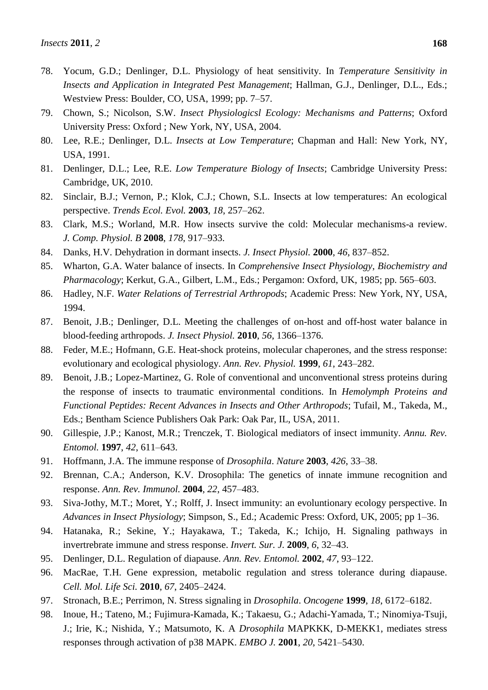- 78. Yocum, G.D.; Denlinger, D.L. Physiology of heat sensitivity. In *Temperature Sensitivity in Insects and Application in Integrated Pest Management*; Hallman, G.J., Denlinger, D.L., Eds.; Westview Press: Boulder, CO, USA, 1999; pp. 7–57.
- 79. Chown, S.; Nicolson, S.W. *Insect Physiologicsl Ecology: Mechanisms and Patterns*; Oxford University Press: Oxford ; New York, NY, USA, 2004.
- 80. Lee, R.E.; Denlinger, D.L. *Insects at Low Temperature*; Chapman and Hall: New York, NY, USA, 1991.
- 81. Denlinger, D.L.; Lee, R.E. *Low Temperature Biology of Insects*; Cambridge University Press: Cambridge, UK, 2010.
- 82. Sinclair, B.J.; Vernon, P.; Klok, C.J.; Chown, S.L. Insects at low temperatures: An ecological perspective. *Trends Ecol. Evol.* **2003**, *18*, 257–262.
- 83. Clark, M.S.; Worland, M.R. How insects survive the cold: Molecular mechanisms-a review. *J. Comp. Physiol. B* **2008**, *178*, 917–933.
- 84. Danks, H.V. Dehydration in dormant insects. *J. Insect Physiol.* **2000**, *46*, 837–852.
- 85. Wharton, G.A. Water balance of insects. In *Comprehensive Insect Physiology*, *Biochemistry and Pharmacology*; Kerkut, G.A., Gilbert, L.M., Eds.; Pergamon: Oxford, UK, 1985; pp. 565–603.
- 86. Hadley, N.F. *Water Relations of Terrestrial Arthropods*; Academic Press: New York, NY, USA, 1994.
- 87. Benoit, J.B.; Denlinger, D.L. Meeting the challenges of on-host and off-host water balance in blood-feeding arthropods. *J. Insect Physiol.* **2010**, *56*, 1366–1376.
- 88. Feder, M.E.; Hofmann, G.E. Heat-shock proteins, molecular chaperones, and the stress response: evolutionary and ecological physiology. *Ann. Rev. Physiol.* **1999**, *61*, 243–282.
- 89. Benoit, J.B.; Lopez-Martinez, G. Role of conventional and unconventional stress proteins during the response of insects to traumatic environmental conditions. In *Hemolymph Proteins and Functional Peptides: Recent Advances in Insects and Other Arthropods*; Tufail, M., Takeda, M., Eds.; Bentham Science Publishers Oak Park: Oak Par, IL, USA, 2011.
- 90. Gillespie, J.P.; Kanost, M.R.; Trenczek, T. Biological mediators of insect immunity. *Annu. Rev. Entomol.* **1997**, *42*, 611–643.
- 91. Hoffmann, J.A. The immune response of *Drosophila*. *Nature* **2003**, *426*, 33–38.
- 92. Brennan, C.A.; Anderson, K.V. Drosophila: The genetics of innate immune recognition and response. *Ann. Rev. Immunol.* **2004**, *22*, 457–483.
- 93. Siva-Jothy, M.T.; Moret, Y.; Rolff, J. Insect immunity: an evoluntionary ecology perspective. In *Advances in Insect Physiology*; Simpson, S., Ed.; Academic Press: Oxford, UK, 2005; pp 1–36.
- 94. Hatanaka, R.; Sekine, Y.; Hayakawa, T.; Takeda, K.; Ichijo, H. Signaling pathways in invertrebrate immune and stress response. *Invert. Sur. J.* **2009**, *6*, 32–43.
- 95. Denlinger, D.L. Regulation of diapause. *Ann. Rev. Entomol.* **2002**, *47*, 93–122.
- 96. MacRae, T.H. Gene expression, metabolic regulation and stress tolerance during diapause. *Cell. Mol. Life Sci.* **2010**, *67*, 2405–2424.
- 97. Stronach, B.E.; Perrimon, N. Stress signaling in *Drosophila*. *Oncogene* **1999**, *18*, 6172–6182.
- 98. Inoue, H.; Tateno, M.; Fujimura-Kamada, K.; Takaesu, G.; Adachi-Yamada, T.; Ninomiya-Tsuji, J.; Irie, K.; Nishida, Y.; Matsumoto, K. A *Drosophila* MAPKKK, D-MEKK1, mediates stress responses through activation of p38 MAPK. *EMBO J.* **2001**, *20*, 5421–5430.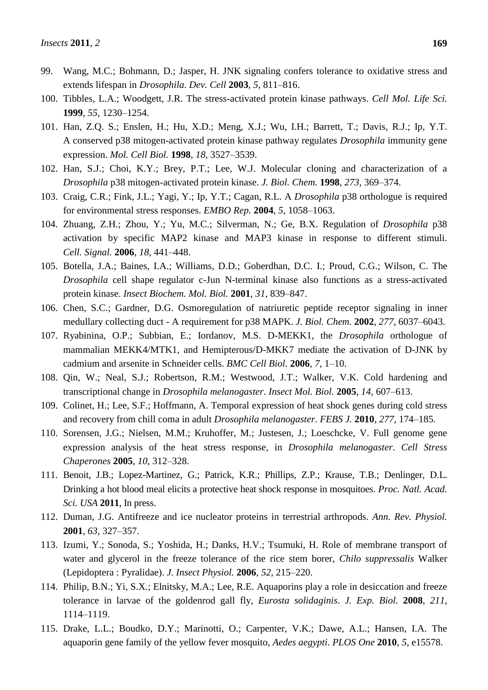- 99. Wang, M.C.; Bohmann, D.; Jasper, H. JNK signaling confers tolerance to oxidative stress and extends lifespan in *Drosophila*. *Dev. Cell* **2003**, *5*, 811–816.
- 100. Tibbles, L.A.; Woodgett, J.R. The stress-activated protein kinase pathways. *Cell Mol. Life Sci.* **1999**, *55*, 1230–1254.
- 101. Han, Z.Q. S.; Enslen, H.; Hu, X.D.; Meng, X.J.; Wu, I.H.; Barrett, T.; Davis, R.J.; Ip, Y.T. A conserved p38 mitogen-activated protein kinase pathway regulates *Drosophila* immunity gene expression. *Mol. Cell Biol.* **1998**, *18*, 3527–3539.
- 102. Han, S.J.; Choi, K.Y.; Brey, P.T.; Lee, W.J. Molecular cloning and characterization of a *Drosophila* p38 mitogen-activated protein kinase. *J. Biol. Chem.* **1998**, *273*, 369–374.
- 103. Craig, C.R.; Fink, J.L.; Yagi, Y.; Ip, Y.T.; Cagan, R.L. A *Drosophila* p38 orthologue is required for environmental stress responses. *EMBO Rep.* **2004**, *5*, 1058–1063.
- 104. Zhuang, Z.H.; Zhou, Y.; Yu, M.C.; Silverman, N.; Ge, B.X. Regulation of *Drosophila* p38 activation by specific MAP2 kinase and MAP3 kinase in response to different stimuli. *Cell. Signal.* **2006**, *18*, 441–448.
- 105. Botella, J.A.; Baines, I.A.; Williams, D.D.; Goberdhan, D.C. I.; Proud, C.G.; Wilson, C. The *Drosophila* cell shape regulator c-Jun N-terminal kinase also functions as a stress-activated protein kinase. *Insect Biochem. Mol. Biol.* **2001**, *31*, 839–847.
- 106. Chen, S.C.; Gardner, D.G. Osmoregulation of natriuretic peptide receptor signaling in inner medullary collecting duct - A requirement for p38 MAPK. *J. Biol. Chem.* **2002**, *277*, 6037–6043.
- 107. Ryabinina, O.P.; Subbian, E.; Iordanov, M.S. D-MEKK1, the *Drosophila* orthologue of mammalian MEKK4/MTK1, and Hemipterous/D-MKK7 mediate the activation of D-JNK by cadmium and arsenite in Schneider cells. *BMC Cell Biol.* **2006**, *7*, 1–10.
- 108. Qin, W.; Neal, S.J.; Robertson, R.M.; Westwood, J.T.; Walker, V.K. Cold hardening and transcriptional change in *Drosophila melanogaster*. *Insect Mol. Biol.* **2005**, *14*, 607–613.
- 109. Colinet, H.; Lee, S.F.; Hoffmann, A. Temporal expression of heat shock genes during cold stress and recovery from chill coma in adult *Drosophila melanogaster*. *FEBS J.* **2010**, *277*, 174–185.
- 110. Sorensen, J.G.; Nielsen, M.M.; Kruhoffer, M.; Justesen, J.; Loeschcke, V. Full genome gene expression analysis of the heat stress response, in *Drosophila melanogaster*. *Cell Stress Chaperones* **2005**, *10*, 312–328.
- 111. Benoit, J.B.; Lopez-Martinez, G.; Patrick, K.R.; Phillips, Z.P.; Krause, T.B.; Denlinger, D.L. Drinking a hot blood meal elicits a protective heat shock response in mosquitoes. *Proc. Natl. Acad. Sci. USA* **2011**, In press.
- 112. Duman, J.G. Antifreeze and ice nucleator proteins in terrestrial arthropods. *Ann. Rev. Physiol.* **2001**, *63*, 327–357.
- 113. Izumi, Y.; Sonoda, S.; Yoshida, H.; Danks, H.V.; Tsumuki, H. Role of membrane transport of water and glycerol in the freeze tolerance of the rice stem borer, *Chilo suppressalis* Walker (Lepidoptera : Pyralidae). *J. Insect Physiol.* **2006**, *52*, 215–220.
- 114. Philip, B.N.; Yi, S.X.; Elnitsky, M.A.; Lee, R.E. Aquaporins play a role in desiccation and freeze tolerance in larvae of the goldenrod gall fly, *Eurosta solidaginis*. *J. Exp. Biol.* **2008**, *211*, 1114–1119.
- 115. Drake, L.L.; Boudko, D.Y.; Marinotti, O.; Carpenter, V.K.; Dawe, A.L.; Hansen, I.A. The aquaporin gene family of the yellow fever mosquito, *Aedes aegypti*. *PLOS One* **2010**, *5*, e15578.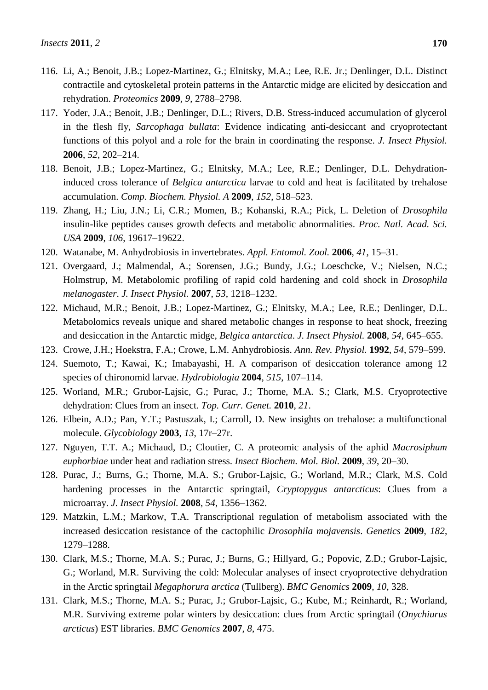- 116. Li, A.; Benoit, J.B.; Lopez-Martinez, G.; Elnitsky, M.A.; Lee, R.E. Jr.; Denlinger, D.L. Distinct contractile and cytoskeletal protein patterns in the Antarctic midge are elicited by desiccation and rehydration. *Proteomics* **2009**, *9*, 2788–2798.
- 117. Yoder, J.A.; Benoit, J.B.; Denlinger, D.L.; Rivers, D.B. Stress-induced accumulation of glycerol in the flesh fly, *Sarcophaga bullata*: Evidence indicating anti-desiccant and cryoprotectant functions of this polyol and a role for the brain in coordinating the response. *J. Insect Physiol.* **2006**, *52*, 202–214.
- 118. Benoit, J.B.; Lopez-Martinez, G.; Elnitsky, M.A.; Lee, R.E.; Denlinger, D.L. Dehydrationinduced cross tolerance of *Belgica antarctica* larvae to cold and heat is facilitated by trehalose accumulation. *Comp. Biochem. Physiol. A* **2009**, *152*, 518–523.
- 119. Zhang, H.; Liu, J.N.; Li, C.R.; Momen, B.; Kohanski, R.A.; Pick, L. Deletion of *Drosophila* insulin-like peptides causes growth defects and metabolic abnormalities. *Proc. Natl. Acad. Sci. USA* **2009**, *106*, 19617–19622.
- 120. Watanabe, M. Anhydrobiosis in invertebrates. *Appl. Entomol. Zool.* **2006**, *41*, 15–31.
- 121. Overgaard, J.; Malmendal, A.; Sorensen, J.G.; Bundy, J.G.; Loeschcke, V.; Nielsen, N.C.; Holmstrup, M. Metabolomic profiling of rapid cold hardening and cold shock in *Drosophila melanogaster*. *J. Insect Physiol.* **2007**, *53*, 1218–1232.
- 122. Michaud, M.R.; Benoit, J.B.; Lopez-Martinez, G.; Elnitsky, M.A.; Lee, R.E.; Denlinger, D.L. Metabolomics reveals unique and shared metabolic changes in response to heat shock, freezing and desiccation in the Antarctic midge, *Belgica antarctica*. *J. Insect Physiol.* **2008**, *54*, 645–655.
- 123. Crowe, J.H.; Hoekstra, F.A.; Crowe, L.M. Anhydrobiosis. *Ann. Rev. Physiol.* **1992**, *54*, 579–599.
- 124. Suemoto, T.; Kawai, K.; Imabayashi, H. A comparison of desiccation tolerance among 12 species of chironomid larvae. *Hydrobiologia* **2004**, *515*, 107–114.
- 125. Worland, M.R.; Grubor-Lajsic, G.; Purac, J.; Thorne, M.A. S.; Clark, M.S. Cryoprotective dehydration: Clues from an insect. *Top. Curr. Genet.* **2010**, *21*.
- 126. Elbein, A.D.; Pan, Y.T.; Pastuszak, I.; Carroll, D. New insights on trehalose: a multifunctional molecule. *Glycobiology* **2003**, *13*, 17r–27r.
- 127. Nguyen, T.T. A.; Michaud, D.; Cloutier, C. A proteomic analysis of the aphid *Macrosiphum euphorbiae* under heat and radiation stress. *Insect Biochem. Mol. Biol.* **2009**, *39*, 20–30.
- 128. Purac, J.; Burns, G.; Thorne, M.A. S.; Grubor-Lajsic, G.; Worland, M.R.; Clark, M.S. Cold hardening processes in the Antarctic springtail, *Cryptopygus antarcticus*: Clues from a microarray. *J. Insect Physiol.* **2008**, *54*, 1356–1362.
- 129. Matzkin, L.M.; Markow, T.A. Transcriptional regulation of metabolism associated with the increased desiccation resistance of the cactophilic *Drosophila mojavensis*. *Genetics* **2009**, *182*, 1279–1288.
- 130. Clark, M.S.; Thorne, M.A. S.; Purac, J.; Burns, G.; Hillyard, G.; Popovic, Z.D.; Grubor-Lajsic, G.; Worland, M.R. Surviving the cold: Molecular analyses of insect cryoprotective dehydration in the Arctic springtail *Megaphorura arctica* (Tullberg). *BMC Genomics* **2009**, *10*, 328.
- 131. Clark, M.S.; Thorne, M.A. S.; Purac, J.; Grubor-Lajsic, G.; Kube, M.; Reinhardt, R.; Worland, M.R. Surviving extreme polar winters by desiccation: clues from Arctic springtail (*Onychiurus arcticus*) EST libraries. *BMC Genomics* **2007**, *8*, 475.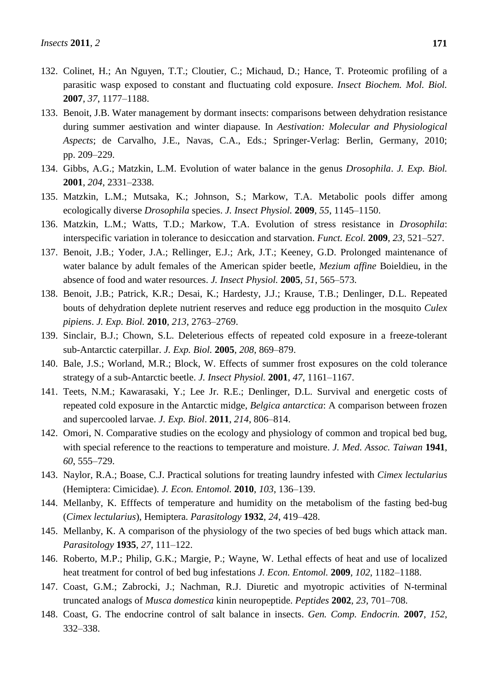- 132. Colinet, H.; An Nguyen, T.T.; Cloutier, C.; Michaud, D.; Hance, T. Proteomic profiling of a parasitic wasp exposed to constant and fluctuating cold exposure. *Insect Biochem. Mol. Biol.* **2007**, *37*, 1177–1188.
- 133. Benoit, J.B. Water management by dormant insects: comparisons between dehydration resistance during summer aestivation and winter diapause. In *Aestivation: Molecular and Physiological Aspects*; de Carvalho, J.E., Navas, C.A., Eds.; Springer-Verlag: Berlin, Germany, 2010; pp. 209–229.
- 134. Gibbs, A.G.; Matzkin, L.M. Evolution of water balance in the genus *Drosophila*. *J. Exp. Biol.* **2001**, *204*, 2331–2338.
- 135. Matzkin, L.M.; Mutsaka, K.; Johnson, S.; Markow, T.A. Metabolic pools differ among ecologically diverse *Drosophila* species. *J. Insect Physiol.* **2009**, *55*, 1145–1150.
- 136. Matzkin, L.M.; Watts, T.D.; Markow, T.A. Evolution of stress resistance in *Drosophila*: interspecific variation in tolerance to desiccation and starvation. *Funct. Ecol.* **2009**, *23*, 521–527.
- 137. Benoit, J.B.; Yoder, J.A.; Rellinger, E.J.; Ark, J.T.; Keeney, G.D. Prolonged maintenance of water balance by adult females of the American spider beetle, *Mezium affine* Boieldieu, in the absence of food and water resources. *J. Insect Physiol.* **2005**, *51*, 565–573.
- 138. Benoit, J.B.; Patrick, K.R.; Desai, K.; Hardesty, J.J.; Krause, T.B.; Denlinger, D.L. Repeated bouts of dehydration deplete nutrient reserves and reduce egg production in the mosquito *Culex pipiens*. *J. Exp. Biol.* **2010**, *213*, 2763–2769.
- 139. Sinclair, B.J.; Chown, S.L. Deleterious effects of repeated cold exposure in a freeze-tolerant sub-Antarctic caterpillar. *J. Exp. Biol.* **2005**, *208*, 869–879.
- 140. Bale, J.S.; Worland, M.R.; Block, W. Effects of summer frost exposures on the cold tolerance strategy of a sub-Antarctic beetle. *J. Insect Physiol.* **2001**, *47*, 1161–1167.
- 141. Teets, N.M.; Kawarasaki, Y.; Lee Jr. R.E.; Denlinger, D.L. Survival and energetic costs of repeated cold exposure in the Antarctic midge, *Belgica antarctica*: A comparison between frozen and supercooled larvae. *J. Exp. Biol*. **2011**, *214*, 806–814.
- 142. Omori, N. Comparative studies on the ecology and physiology of common and tropical bed bug, with special reference to the reactions to temperature and moisture. *J. Med. Assoc. Taiwan* **1941**, *60*, 555–729.
- 143. Naylor, R.A.; Boase, C.J. Practical solutions for treating laundry infested with *Cimex lectularius* (Hemiptera: Cimicidae). *J. Econ. Entomol.* **2010**, *103*, 136–139.
- 144. Mellanby, K. Efffects of temperature and humidity on the metabolism of the fasting bed-bug (*Cimex lectularius*), Hemiptera. *Parasitology* **1932**, *24*, 419–428.
- 145. Mellanby, K. A comparison of the physiology of the two species of bed bugs which attack man. *Parasitology* **1935**, *27*, 111–122.
- 146. Roberto, M.P.; Philip, G.K.; Margie, P.; Wayne, W. Lethal effects of heat and use of localized heat treatment for control of bed bug infestations *J. Econ. Entomol.* **2009**, *102*, 1182–1188.
- 147. Coast, G.M.; Zabrocki, J.; Nachman, R.J. Diuretic and myotropic activities of N-terminal truncated analogs of *Musca domestica* kinin neuropeptide. *Peptides* **2002**, *23*, 701–708.
- 148. Coast, G. The endocrine control of salt balance in insects. *Gen. Comp. Endocrin.* **2007**, *152*, 332–338.